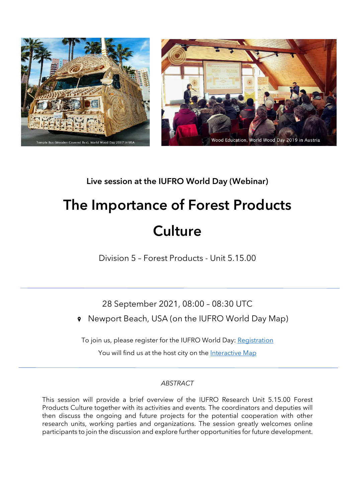



## Live session at the IUFRO World Day (Webinar)

# The Importance of Forest Products **Culture**

Division 5 – Forest Products - Unit 5.15.00

28 September 2021, 08:00 – 08:30 UTC

Newport Beach, USA (on the IUFRO World Day Map)  $\mathbf{\Theta}$ 

To join us, please register for the IUFRO World Day: [Registration](https://www.iufroworldday.org/participation)

You will find us at the host city on the [Interactive Map](https://www.iufroworldday.org/interactive-map)

### *ABSTRACT*

This session will provide a brief overview of the IUFRO Research Unit 5.15.00 Forest Products Culture together with its activities and events. The coordinators and deputies will then discuss the ongoing and future projects for the potential cooperation with other research units, working parties and organizations. The session greatly welcomes online participants to join the discussion and explore further opportunities for future development.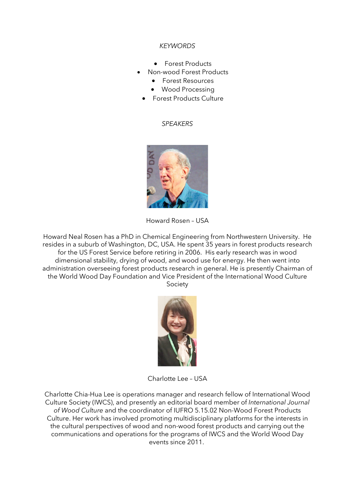#### *KEYWORDS*

- Forest Products
- Non-wood Forest Products
	- Forest Resources
	- Wood Processing
- Forest Products Culture

#### *SPEAKERS*



Howard Rosen – USA

Howard Neal Rosen has a PhD in Chemical Engineering from Northwestern University. He resides in a suburb of Washington, DC, USA. He spent 35 years in forest products research for the US Forest Service before retiring in 2006. His early research was in wood dimensional stability, drying of wood, and wood use for energy. He then went into administration overseeing forest products research in general. He is presently Chairman of the World Wood Day Foundation and Vice President of the International Wood Culture Society



Charlotte Lee – USA

Charlotte Chia-Hua Lee is operations manager and research fellow of International Wood Culture Society (IWCS), and presently an editorial board member of *International Journal of Wood Culture* and the coordinator of IUFRO 5.15.02 Non-Wood Forest Products Culture. Her work has involved promoting multidisciplinary platforms for the interests in the cultural perspectives of wood and non-wood forest products and carrying out the communications and operations for the programs of IWCS and the World Wood Day events since 2011.